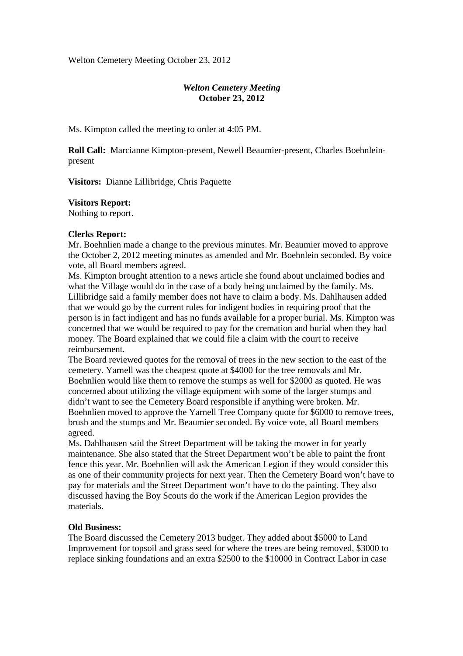Welton Cemetery Meeting October 23, 2012

### *Welton Cemetery Meeting*  **October 23, 2012**

Ms. Kimpton called the meeting to order at 4:05 PM.

**Roll Call:** Marcianne Kimpton-present, Newell Beaumier-present, Charles Boehnleinpresent

**Visitors:** Dianne Lillibridge, Chris Paquette

#### **Visitors Report:**

Nothing to report.

#### **Clerks Report:**

Mr. Boehnlien made a change to the previous minutes. Mr. Beaumier moved to approve the October 2, 2012 meeting minutes as amended and Mr. Boehnlein seconded. By voice vote, all Board members agreed.

Ms. Kimpton brought attention to a news article she found about unclaimed bodies and what the Village would do in the case of a body being unclaimed by the family. Ms. Lillibridge said a family member does not have to claim a body. Ms. Dahlhausen added that we would go by the current rules for indigent bodies in requiring proof that the person is in fact indigent and has no funds available for a proper burial. Ms. Kimpton was concerned that we would be required to pay for the cremation and burial when they had money. The Board explained that we could file a claim with the court to receive reimbursement.

The Board reviewed quotes for the removal of trees in the new section to the east of the cemetery. Yarnell was the cheapest quote at \$4000 for the tree removals and Mr. Boehnlien would like them to remove the stumps as well for \$2000 as quoted. He was concerned about utilizing the village equipment with some of the larger stumps and didn't want to see the Cemetery Board responsible if anything were broken. Mr. Boehnlien moved to approve the Yarnell Tree Company quote for \$6000 to remove trees, brush and the stumps and Mr. Beaumier seconded. By voice vote, all Board members agreed.

Ms. Dahlhausen said the Street Department will be taking the mower in for yearly maintenance. She also stated that the Street Department won't be able to paint the front fence this year. Mr. Boehnlien will ask the American Legion if they would consider this as one of their community projects for next year. Then the Cemetery Board won't have to pay for materials and the Street Department won't have to do the painting. They also discussed having the Boy Scouts do the work if the American Legion provides the materials.

## **Old Business:**

The Board discussed the Cemetery 2013 budget. They added about \$5000 to Land Improvement for topsoil and grass seed for where the trees are being removed, \$3000 to replace sinking foundations and an extra \$2500 to the \$10000 in Contract Labor in case